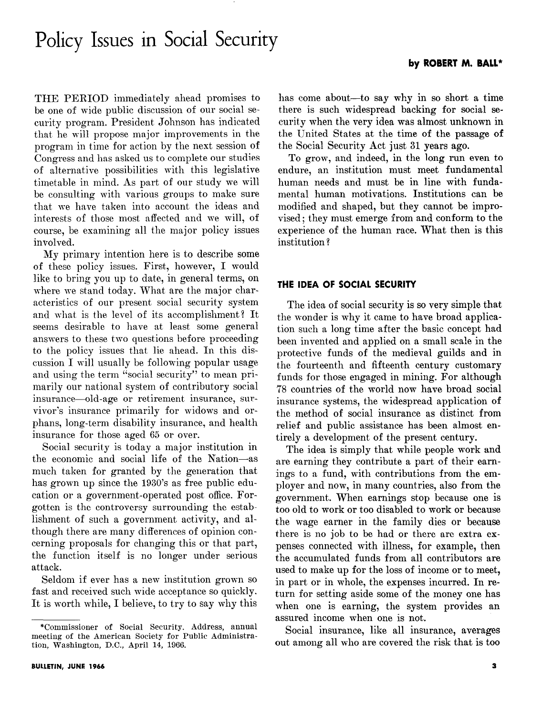# Policy Issues in Social Security J

THE PERIOD immediately ahead promises to be one of wide public discussion of our social security program. President Johnson has indicated that he will propose major improvements in the program in time for action by the next session of Congress and has asked us to complete our studies of alternative possibilities with this legislative timetable in mind. As part of our study we will be consulting with various groups to make sure that we have taken into account the ideas and interests of those most affected and we will, of course, be examining all the major policy issues involved.

My primary intention here is to describe some of these policy issues. First, however, I would like to bring you up to date, in general terms, on where we stand today. What are the major characteristics of our present social security system and what is the level of its accomplishment? It seems desirable to have at least some general answers to these two questions before proceeding to the policy issues that lie ahead. In this discussion I will usually be following popular usage and using the term "social security" to mean primarily our national system of contributory social insurance-old-age or retirement insurance, survivor's insurance primarily for widows and orphans, long-term disability insurance, and health insurance for those aged 65 or over.

Social security is today a major institution in the economic and social life of the Nation-as much taken for granted by the generation that has grown up since the 1930's as free public education or a government-operated post office. Forgotten is the controversy surrounding the establishment of such a government activity, and although there are many differences of opinion concerning proposals for changing this or that part, the function itself is no longer under serious attack.

Seldom if ever has a new institution grown SO fast and received such wide acceptance so quickly. It is worth while, I believe, to try to say why this

has come about—to say why in so short a time there is such widespread backing for social security when the very idea was almost unknown in the United States at the time of the passage of the Social Security Act just 31 years ago.

To grow, and indeed, in the long run even to endure, an institution must meet fundamental human needs and must be in line with fundamental human motivations. Institutions can be modified and shaped, but they cannot be improvised; they must emerge from and conform to the experience of the human race. What then is this institution ?

### THE IDEA OF SOCIAL SECURITY

The idea of social security is so very simple that the wonder is why it came to have broad application such a long time after the basic concept had been invented and applied on a small scale in the protective funds of the medieval guilds and in the fourteenth and fifteenth century customary funds for those engaged in mining. For although 78 countries of the world now have broad social insurance systems, the widespread application of the method of social insurance as distinct from relief and public assistance has been almost entirely a development of the present century.

The idea is simply that while people work and are earning they contribute a part of their earnings to a fund, with contributions from the employer and now, in many countries, also from the government. When earnings stop because one is too old to work or too disabled to work or because the wage earner in the family dies or because there is no job to be had or there are extra expenses connected with illness, for example, then the accumulated funds from all contributors are used to make up for the loss of income or to meet, in part or in whole, the expenses incurred. In return for setting aside some of the money one has when one is earning, the system provides an assured income when one is not.

Social insurance, like all insurance, averages out among all who are covered the risk that is too

<sup>\*</sup>Commissioner of Social Security. Address, annual meeting of the American Society for Public Administration, Washington, D.C., April 14, 1966.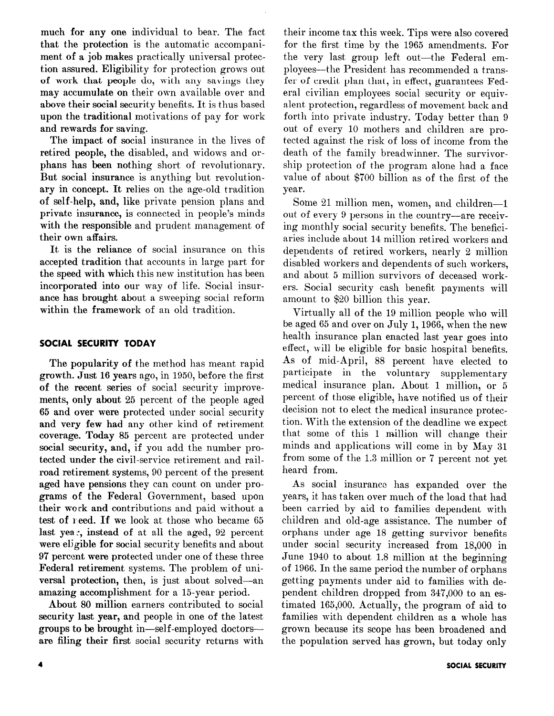much for any one individual to bear. The fact that the protection is the automatic accompaniment of a job makes practically universal protection assured. Eligibility for protection grows out of work that people do, with any savings they may accumulate on their own available over and above their social security benefits. It is thus based upon the traditional motivations of pay for work and rewards for saving.

The impact of social insurance in the lives of retired people, the disabled, and widows and orphans has been nothing short of revolutionary. But social insurance is anything but revolutionary in concept. It relies on the age-old tradition of self-help, and, like private pension plans and private insurance, is connected in people's minds with the responsible and prudent management of their own affairs.

It is the reliance of social insurance on this accepted tradition that accounts in large part for the speed with which this new institution has been incorporated into our way of life. Social insurance has brought about a sweeping social reform within the framework of an old tradition.

# SOCIAL SECURITY TODAY

The popularity of the method has meant rapid growth. Just 16 years ago, in 1950, before the first of the recent series of social security improvements, only about 25 percent of the people aged 65 and over were protected under social security and very few had any other kind of retirement coverage. Today 85 percent are protected under social security, and, if you add the number protected under the civil-service retirement and railroad retirement systems, 90 percent of the present aged have pensions they can count on under programs of the Federal Government, based upon their work and contributions and paid without a test of need. If we look at those who became 65 last yea:, instead of at all the aged, 92 percent were eligible for social security benefits and about 97 percent were protected under one of these three Federal retirement systems. The problem of universal protection, then, is just about solved-an amazing accomplishment for a 15-year period.

About 80 million earners contributed to social security last year, and people in one of the latest groups to be brought in-self-employed doctorsare filing their first social security returns with

their income tax this week. Tips were also covered for the first time by the 1965 amendments. For the very last group left out-the Federal employees—the President has recommended a transfer of credit plan that, in effect, guarantees Federal civilian employees social security or equivalent protection, regardless of movement back and forth into private industry. Today better than 9 out of every 10 mothers and children are protected against the risk of loss of income from the death of the family breadwinner. The survivorship protection of the program alone had a face value of about, \$700 billion as of the first of the year.

Some 21 million men, women, and children-1 out of every 9 persons in the country-are receiving monthly social security benefits. The beneficiaries include about 14 million retired workers and dependents of retired workers, nearly 2 million disabled workers and dependents of such workers, and about 5 million survivors of deceased workers. Social security cash benefit payments will amount to \$20 billion this year.

Virtually all of the 19 million people who will be aged 65 and over on July 1,1966, when the new health insurance plan enacted last year goes into effect, will be eligible for basic hospital benefits. As of mid-April, 88 percent have elected to participate in the voluntary supplementary medical insurance plan. About 1 million, or 5 percent of those eligible, have notified us of their decision not, to elect the medical insurance protection. With the extension of the deadline we expect that some of this 1 million will change their minds and applications will come in by May 31 from some of the 1.3 million or 7 percent not yet heard from.

As social insurance has expanded over the years, it has taken over much of the load that had been carried by aid to families dependent with children and old-age assistance. The number of orphans under age 18 getting survivor benefits under social security increased from 18,000 in June 1940 to about 1.8 million at the beginning of 1966. In the same period the number of orphans getting payments under aid to families with dependent children dropped from 34'7,000 to an estimated 165,000. Actually, the program of aid to families with dependent children as a whole has grown because its scope has been broadened and the population served has grown, but today only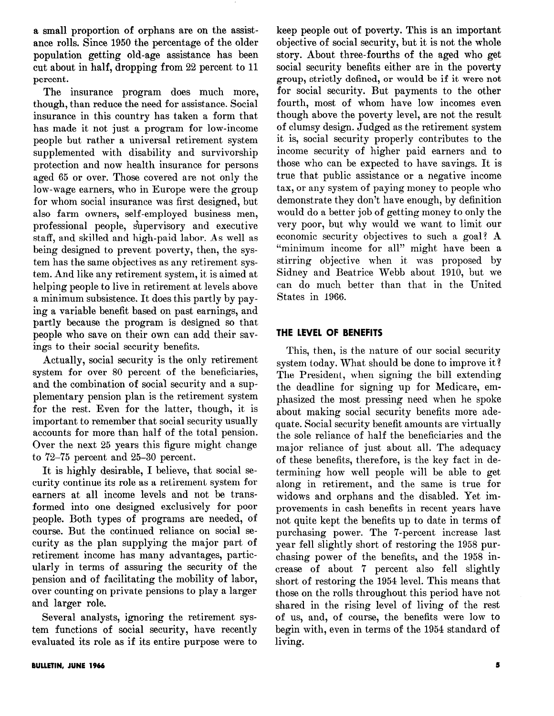a small proportion of orphans are on the assistance rolls. Since 1950 the percentage of the older population getting old-age assistance has been cut about in half, dropping from 22 percent to 11 percent.

The insurance program does much more, though, than reduce the need for assistance. Social insurance in this country has taken a form that has made it not just a program for low-income people but rather a universal retirement system supplemented with disability and survivorship protection and now health insurance for persons aged 65 or over. Those covered are not only the low-wage earners, who in Europe were the group for whom social insurance was first designed, but also farm owners, self-employed business men, professional people, s'upervisory and executive staff, and skilled and high-paid labor. As well as being designed to prevent poverty, then, the system has the same objectives as any retirement system. And like any retirement system, it is aimed at helping people to live in retirement at levels above a minimum subsistence. It does this partly by paying a variable benefit based on past earnings, and partly because the program is designed so that people who save on their own can add their savings to their social security benefits.

Actually, social security is the only retirement system for over 80 percent of the beneficiaries, and the combination of social security and a supplementary pension plan is the retirement system for the rest. Even for the latter, though, it is important to remember that social security usually accounts for more than half of the total pension. Over the next 25 years this figure might change to 72-75 percent and 25-30 percent.

It is highly desirable, I believe, that social security continue its role as a retirement system for earners at all income levels and not be transformed into one designed exclusively for poor people. Both types of programs are needed, of course. But the continued reliance on social security as the plan supplying the major part of retirement income has many advantages, particularly in terms of assuring the security of the pension and of facilitating the mobility of labor, over counting on private pensions to play a larger and larger role.

Several analysts, ignoring the retirement system functions of social security, have recently evaluated its role as if its entire purpose were to keep people out of poverty. This is an important objective of social security, but it is not the whole story. About three-fourths of the aged who get social security benefits either are in the poverty group, strictly defined, or would be if it were not for social security. But payments to the other fourth, most of whom have low incomes even though above the poverty level, are not the result of clumsy design. Judged as the retirement system it is, social security properly contributes to the income security of higher paid earners and to those who can be expected to have savings. It is true that public assistance or a negative income tax, or any system of paying money to people who demonstrate they don't have enough, by definition would do a better job of getting money to only the very poor, but why would we want to limit our economic security objectives to such a goal! A "minimum income for all" might have been a stirring objective when it was proposed by Sidney and Beatrice Webb about 1910, but we can do much better than that in the United States in 1966.

# THE LEVEL OF BENEFITS

This, then, is the nature of our social security system today. What should be done to improve it? The President, when signing the bill extending the deadline for signing up for Medicare, emphasized the most pressing need when he spoke about making social security benefits more adequate. Social security benefit amounts are virtually the sole reliance of half the beneficiaries and the major reliance of just about all. The adequacy of these benefits, therefore, is the key fact in determining how well people will be able to get along in retirement, and the same is true for widows and orphans and the disabled. Yet improvements in cash benefits in recent years have not quite kept the benefits up to date in terms of purchasing power. The 7-percent increase last year fell slightly short of restoring the 1958 purchasing power of the benefits, and the 1958 increase of about 7 percent also fell slightly short of restoring the 1954 level. This means that those on the rolls throughout this period have not shared in the rising level of living of the rest of us, and, of course, the benefits were low to begin with, even in terms of the 1954 standard of living.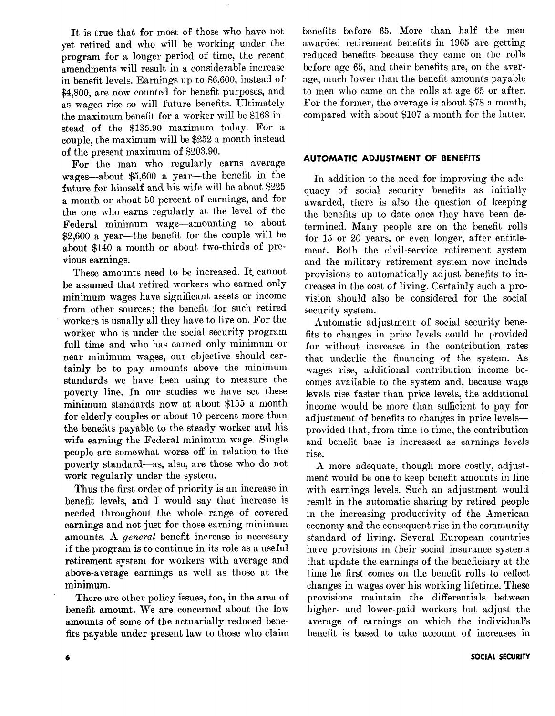It is true that for most of those who have not yet retired and who will be working under the program for a longer period of time, the recent amendments will result in a considerable increase in benefit levels. Earnings up to \$6,600, instead of \$4,800, are now counted for benefit purposes, and as wages rise so will future benefits. Ultimately the maximum benefit for a worker will be \$168 instead of the \$135.90 maximum today. For a couple, the maximum will be \$252 a month instead of the present maximum of \$203.90.

For the man who regularly earns average wages--about \$5,600 a year-the benefit in the future for himself and his wife will be about \$225 a month or about 50 percent of earnings, and for the one who earns regularly at the level of the Federal minimum wage-amounting to about \$2,600 a year-the benefit for the couple will be about \$140 a month or about two-thirds of previous earnings.

These amounts need to be increased. It. cannot be assumed that retired workers who earned only minimum wages have significant assets or income from other sources; the benefit for such retired workers is usually all they have to live on. For the worker who is under the social security program full time and who has earned only minimum or near minimum wages, our objective should certainly be to pay amounts above the minimum standards we have been using to measure the poverty line. In our studies we have set these minimum standards now at about \$155 a month for elderly couples or about 10 percent more than the benefits payable to the steady worker and his wife earning the Federal minimum wage. Single people are somewhat worse off in relation to the poverty standard-as, also, are those who do not work regularly under the system.

Thus the first order of priority is an increase in benefit levels, and I would say that increase is needed throughout the whole range of covered earnings and not just for those earning minimum amounts. A *general* benefit increase is necessary if the program is to continue in its role as a useful retirement system for workers with average and above-average earnings as well as those at the minimum.

There are other policy issues, too, in the area of benefit amount. We are concerned about the low amounts of some of the actuarially reduced benefits payable under present law to those who claim benefits before 65. More than half the men awarded retirement benefits in 1965 are getting reduced benefits because they came on the rolls before age 65, and their benefits are, on the average, much lower than the benefit amounts payable to men who came on the rolls at age 65 or after. For the former, the average is about \$78 a month, compared with about \$107 a month for the latter.

### AUTOMATIC ADJUSTMENT OF BENEFITS

In addition to the need for improving the adequacy of social security benefits as initially awarded, there is also the question of keeping the benefits up to date once they have been determined. Many people are on the benefit rolls for 15 or 20 years, or even longer, after entitlement. Both the civil-service retirement system and the military retirement system now include provisions to automatically adjust benefits to increases in the cost of living. Certainly such a provision should also be considered for the social security system.

Automatic adjustment of social security benefits to changes in price levels could be provided for without increases in the contribution rates that underlie the financing of the system. As wages rise, additional contribution income becomes available to the system and, because wage levels rise faster than price levels, the additional income would be more than sufficient to pay for adjustment of benefits to changes in price levelsprovided that, from time to time, the contribution and benefit base is increased as earnings levels rise.

A more adequate, though more costly, adjustment would be one to keep benefit amounts in line with earnings levels. Such an adjustment would result in the automatic sharing by retired people in the increasing productivity of the American economy and the consequent rise in the community standard of living. Several European countries have provisions in their social insurance systems that update the earnings of the beneficiary at the time he first comes on the benefit rolls to reflect changes in wages over his working lifetime. These provisions maintain the differentials between higher- and lower-paid workers but adjust the average of earnings on which the individual's benefit is based to take account of increases in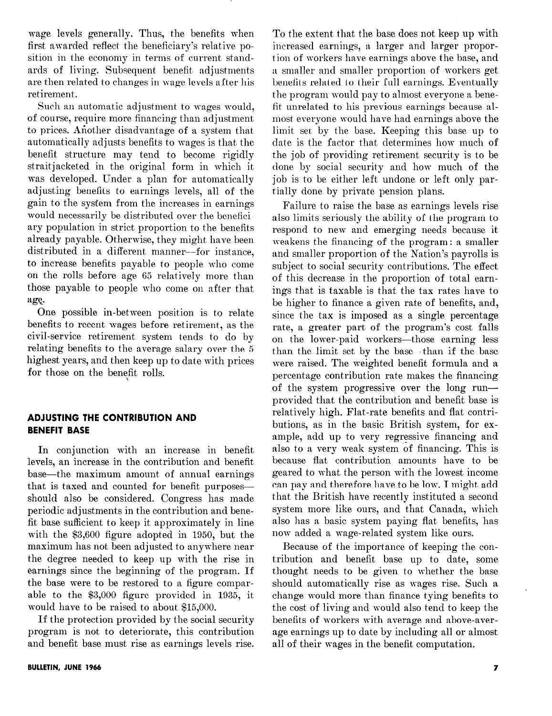wage levels generally. Thus, the benefits when first awarded reflect the beneficiary's relative position in the economy in terms of current standards of living. Subsequent benefit. adjustments are then related to changes in wage levels after his retirement.

Such an automatic adjustment to wages would, of course, require more financing than adjustment to prices. Afiother disadvantage of a system that automatically adjusts benefits to wages is that the benefit structure may tend to become rigidly straitjacketed in the original form in which it was developed. Under a plan for automatically adjusting benefits to earnings levels, all of the gain to the system from the increases in earnings would necessarily be distributed over the beneficiary population in strict proportion to the benefits  $\alpha$  already payable. Otherwise, they might have been distributed in a different manner-for instance, to increase benefits payable to people who come on the rolls before age 65 relatively more than those payable to people who come on after that age.

One possible in-between position is to relate benefits to recent wages before retirement, as the civil-service retirement system tends to do by relating benefits to the average salary over the 5 highest years, and then keep up to date with prices for those on the benefit rolls.

# ADJUSTING THE CONTRIBUTION AND BENEFIT BASE

In conjunction with an increase in benefit levels, an increase in the contribution and benefit base-the maximum amount of annual earnings that is taxed and counted for benefit purposesshould also be considered. Congress has made periodic adjustments in the contribution and benefit base sufficient to keep it approximately in line with the \$3,600 figure adopted in 1950, but the maximum has not been adjusted to anywhere near the degree needed to keep up with the rise in earnings since the beginning of the program. If the base were to be restored to a figure comparable to the \$3,000 figure provided in 1935, it would have to be raised to about \$15,000.

If the protection provided by the social security program is not to deteriorate, this contribution and benefit base must rise as earnings levels rise.

To the extent that the base does not keep up with increased earnings, a larger and larger proportion of workers have earnings above the base, and a smaller and smaller proportion of workers get benefits related to their full earnings. Eventually the program would pay to almost everyone a benefit unrelated to his previous earnings because almost everyone would have had earnings above the limit ser by the base. Keeping this base up to date is the factor that determines how much of the job of providing retirement security is to be done by social security and how much of the job is to be either left undone or left only partially done by private pension plans.

Failure to raise the base as earnings levels rise also limits seriously the ability of the program to respond to new and emerging needs because it weakens the financing of the program: a smaller and smaller proportion of the Nation's payrolls is subject to social security contributions. The effect of this decrease in the proportion of total earnings that is taxable is that the tax rates have to be higher to finance a given rate of benefits, and, since the tax is imposed as a single percentage rate, a greater part of the program's cost falls on the lower-paid workers-those earning less than the limit set by the base-than if the base were raised. The weighted benefit formula and a percentage contribution rate makes the financing of the system progressive over the long runprovided that the contribution and benefit base is relatively high. Flat-rate benefits and flat contributions, as in the basic British system, for example, add up to very regressive financing and also to a very weak system 'of financing. This is because flat contribution amounts have to be geared to what the person with the lowest income can pay and therefore have to be low. I might add that the British have recently instituted a second system more like ours, and that Canada, which also has a basic system paying flat benefits, has now added a wage-related system like ours.

Because of the importance of keeping the contribution and benefit base up to date, some thought needs to be given to whether the base should automatically rise as wages rise. Such a change would more than finance tying benefits to the cost of living and would also tend to keep the benefits of workers with average and above-average earnings up to date by including all or almost all of their wages in the benefit computation.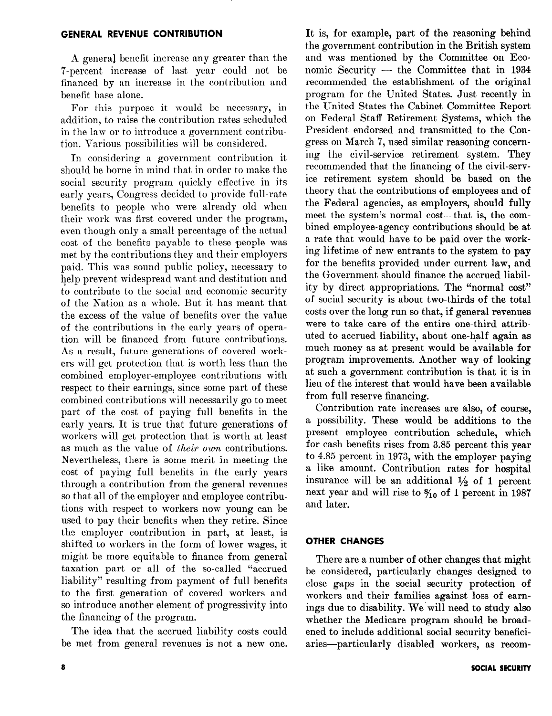### GENERAL REVENUE CONTRIBUTION

A general benefit increase any greater than the 7-percent increase of last year could not be financed by an increase in the contribution and benefit base alone.

For this purpose it would be necessary, in addition, to raise the contribution rates scheduled in the law or to introduce a government contribution. Various possibilities will be considered.

In considering a government contribution it should be borne in mind that in order to make the social security program quickly effective in its early years, Congress decided to provide full-rate benefits to people who were already old when their work was first covered under the program, even though only a small percentage of the actual cost of the benefits payable to these people was met by the contributions they and their employers paid. This was sound public policy, necessary to help prevent widespread want and destitution and to contribute to the social and economic security of the Nation as a whole. But it has meant that the excess of the value of benefits over the value of the contributions in the early years of operation will be financed from future contributions. As a result, future generations of covered workers will get protection that is worth less than the combined employer-employee contributions with respect to their earnings, since some part of these combined contributions will necessarily go to meet part of the cost of paying full benefits in the early years. It is true that future generations of workers will get protection that is worth at least as much as the value of their own contributions. Nevertheless, there is some merit in meeting the cost of paying full benefits in the early years through a contribution from the general revenues so that all of the employer and employee contributions with respect to workers now young can be used to pay their benefits when they retire. Since the employer contribution in part, at least, is shifted to workers in the form of lower wages, it might be more equitable to finance from general taxation part or all of the so-called "accrued liability" resulting from payment of full benefits to the first generation of covered workers and so introduce another element of progressivity into the financing of the program.

The idea that the accrued liability costs could be met from general revenues is not a new one.

on Federal Staff Retirement Systems, which the President endorsed and transmitted to the Congress on March 7, used similar reasoning concerning the civil-service retirement system. They recommended that the financing of the civil-service retirement system should be based on the theory that the contributions of employees and of the Federal agencies, as employers, should fully meet the system's normal cost-that is, the combined employee-agency contributions should be at a rate that would have to be paid over the working lifetime of new entrants to the system to pay for the benefits provided under current law, and the Government should finance the accrued liability by direct appropriations. The "normal cost" of social security is about two-thirds of the total costs over the long run so that, if general revenues were to take care of the entire one-third attributed to accrued liability, about one-half again as much money as at present would be available for program improvements. Another way of looking at such a government contribution is that it is in lieu of the interest that would have been available from full reserve financing. Contribution rate increases are also, of course, a possibility. These would be additions to the present employee contribution schedule, which for cash benefits rises from 3.85 percent this year to 4.85 percent in 1973, with the employer paying a like amount. Contribution rates for hospital insurance will be an additional  $\frac{1}{2}$  of 1 percent next year and will rise to  $\frac{6}{10}$  of 1 percent in 1987

It is, for example, part of the reasoning behind the government contribution in the British system and was mentioned by the Committee on Economic Security  $-$  the Committee that in 1934 recommended the establishment of the original program for the United States. Just recently in the United States the Cabinet Committee Report

### OTHER CHANGES

and later.

There are a number of other changes that might be considered, particularly changes designed to close gaps in the social security protection of workers and their families against loss of earnings due to disability. We will need to study also whether the Medicare program should be broadened to include additional social security beneficiaries-particularly disabled workers, as recom